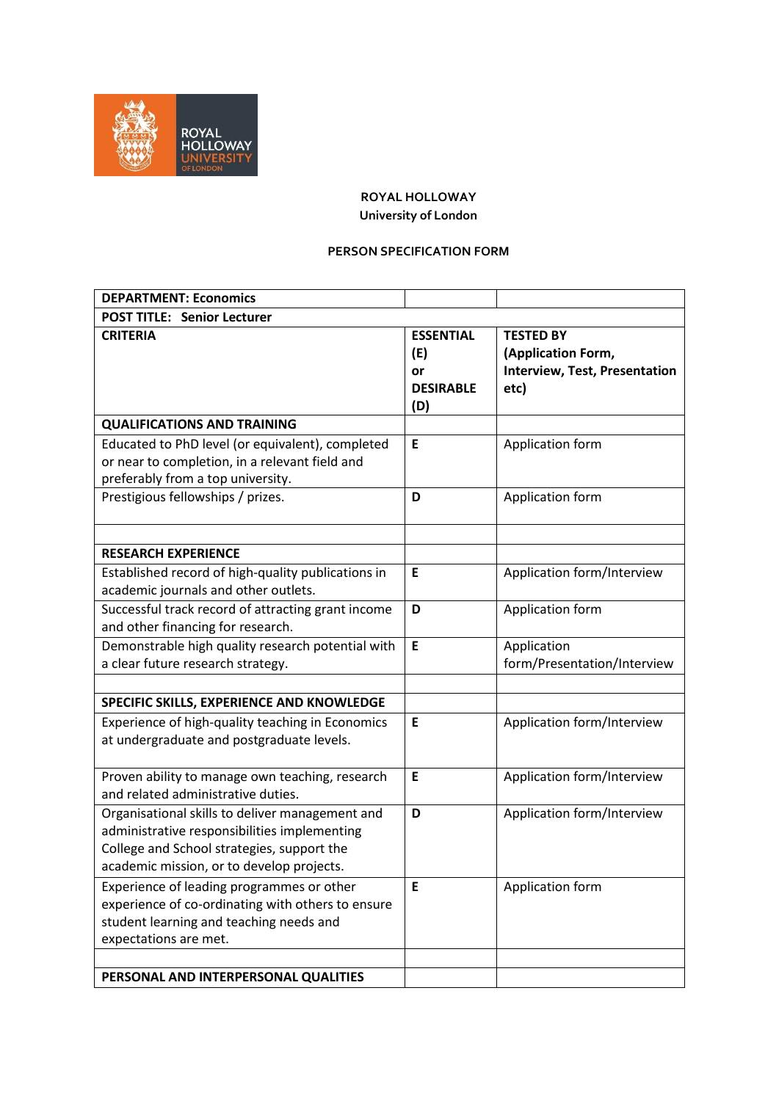

## **ROYAL HOLLOWAY University of London**

## **PERSON SPECIFICATION FORM**

| <b>DEPARTMENT: Economics</b>                                                                                                                                                               |                                                          |                                                                                        |  |
|--------------------------------------------------------------------------------------------------------------------------------------------------------------------------------------------|----------------------------------------------------------|----------------------------------------------------------------------------------------|--|
| <b>POST TITLE: Senior Lecturer</b>                                                                                                                                                         |                                                          |                                                                                        |  |
| <b>CRITERIA</b>                                                                                                                                                                            | <b>ESSENTIAL</b><br>(E)<br>or<br><b>DESIRABLE</b><br>(D) | <b>TESTED BY</b><br>(Application Form,<br><b>Interview, Test, Presentation</b><br>etc) |  |
| <b>QUALIFICATIONS AND TRAINING</b>                                                                                                                                                         |                                                          |                                                                                        |  |
| Educated to PhD level (or equivalent), completed<br>or near to completion, in a relevant field and<br>preferably from a top university.                                                    | E                                                        | Application form                                                                       |  |
| Prestigious fellowships / prizes.                                                                                                                                                          | D                                                        | Application form                                                                       |  |
|                                                                                                                                                                                            |                                                          |                                                                                        |  |
| <b>RESEARCH EXPERIENCE</b>                                                                                                                                                                 |                                                          |                                                                                        |  |
| Established record of high-quality publications in<br>academic journals and other outlets.                                                                                                 | E                                                        | Application form/Interview                                                             |  |
| Successful track record of attracting grant income<br>and other financing for research.                                                                                                    | D                                                        | Application form                                                                       |  |
| Demonstrable high quality research potential with<br>a clear future research strategy.                                                                                                     | E                                                        | Application<br>form/Presentation/Interview                                             |  |
|                                                                                                                                                                                            |                                                          |                                                                                        |  |
| SPECIFIC SKILLS, EXPERIENCE AND KNOWLEDGE                                                                                                                                                  |                                                          |                                                                                        |  |
| Experience of high-quality teaching in Economics<br>at undergraduate and postgraduate levels.                                                                                              | E                                                        | Application form/Interview                                                             |  |
| Proven ability to manage own teaching, research<br>and related administrative duties.                                                                                                      | E                                                        | Application form/Interview                                                             |  |
| Organisational skills to deliver management and<br>administrative responsibilities implementing<br>College and School strategies, support the<br>academic mission, or to develop projects. | D                                                        | Application form/Interview                                                             |  |
| Experience of leading programmes or other<br>experience of co-ordinating with others to ensure<br>student learning and teaching needs and<br>expectations are met.                         | Е                                                        | Application form                                                                       |  |
|                                                                                                                                                                                            |                                                          |                                                                                        |  |
| PERSONAL AND INTERPERSONAL QUALITIES                                                                                                                                                       |                                                          |                                                                                        |  |